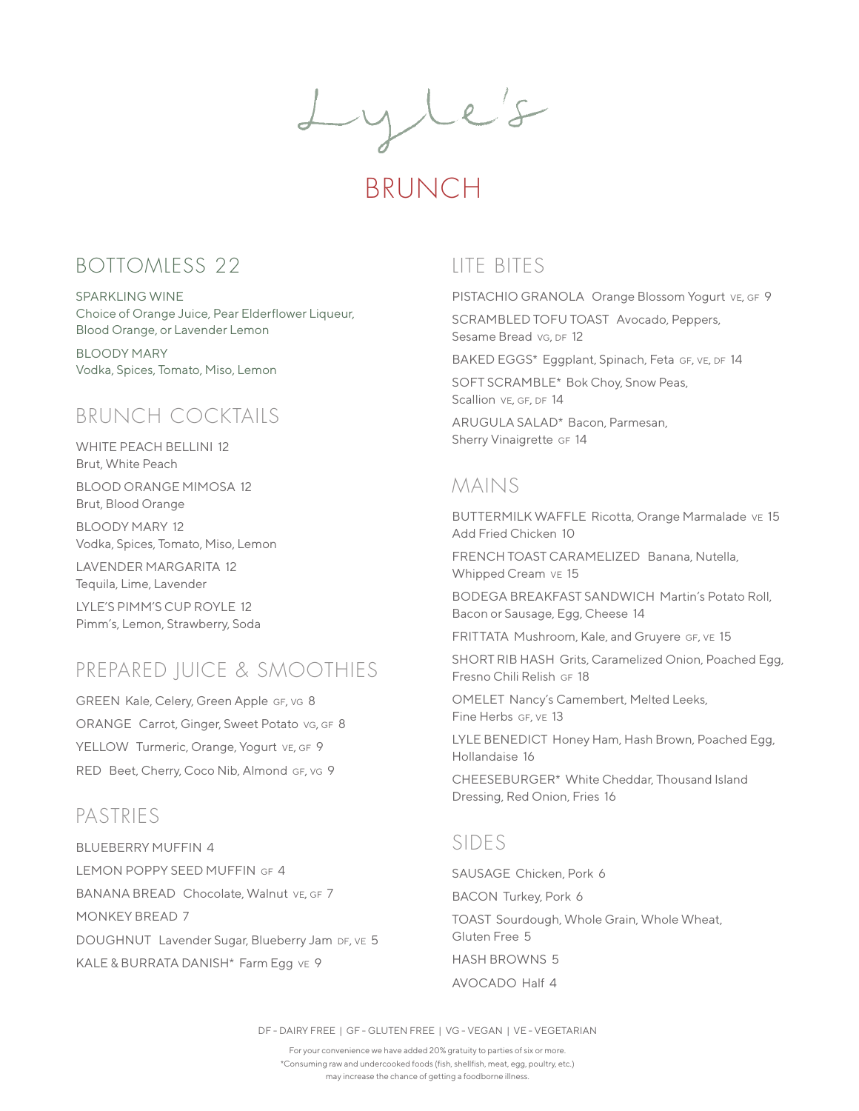Lyle's

# BRUNCH

### BOTTOMLESS 22

SPARKLING WINE Choice of Orange Juice, Pear Elderflower Liqueur, Blood Orange, or Lavender Lemon

BLOODY MARY Vodka, Spices, Tomato, Miso, Lemon

## BRUNCH COCKTAILS

WHITE PEACH BELLINI 12 Brut, White Peach

BLOOD ORANGE MIMOSA 12 Brut, Blood Orange

BLOODY MARY 12 Vodka, Spices, Tomato, Miso, Lemon

LAVENDER MARGARITA 12 Tequila, Lime, Lavender

LYLE'S PIMM'S CUP ROYLE 12 Pimm's, Lemon, Strawberry, Soda

## PREPARED JUICE & SMOOTHIES

GREEN Kale, Celery, Green Apple GF, vg 8 ORANGE Carrot, Ginger, Sweet Potato vg, GF 8 YELLOW Turmeric, Orange, Yogurt VE, GF 9 RED Beet, Cherry, Coco Nib, Almond GF, VG 9

### PASTRIES

BLUEBERRY MUFFIN 4 LEMON POPPY SEED MUFFIN GF 4 BANANA BREAD Chocolate, Walnut VE, GF 7 MONKEY BREAD 7 DOUGHNUT Lavender Sugar, Blueberry Jam DF, VE 5 KALE & BURRATA DANISH\* Farm Egg vE 9

### LITE BITES

PISTACHIO GRANOLA Orange Blossom Yogurt ve, GF 9

SCRAMBLED TOFU TOAST Avocado, Peppers, Sesame Bread vg, DF 12

BAKED EGGS\* Eggplant, Spinach, Feta GF, VE, DF 14

SOFT SCRAMBLE\* Bok Choy, Snow Peas, Scallion VE, GF, DF 14

ARUGULA SALAD\* Bacon, Parmesan, Sherry Vinaigrette GF 14

### MAINS

BUTTERMILK WAFFLE Ricotta, Orange Marmalade ve 15 Add Fried Chicken 10

FRENCH TOAST CARAMELIZED Banana, Nutella, Whipped Cream ve 15

BODEGA BREAKFAST SANDWICH Martin's Potato Roll, Bacon or Sausage, Egg, Cheese 14

FRITTATA Mushroom, Kale, and Gruyere GF, VE 15

SHORT RIB HASH Grits, Caramelized Onion, Poached Egg, Fresno Chili Relish GF 18

OMELET Nancy's Camembert, Melted Leeks, Fine Herbs GF, VE 13

LYLE BENEDICT Honey Ham, Hash Brown, Poached Egg, Hollandaise 16

CHEESEBURGER\* White Cheddar, Thousand Island Dressing, Red Onion, Fries 16

### SIDES

SAUSAGE Chicken, Pork 6 BACON Turkey, Pork 6 TOAST Sourdough, Whole Grain, Whole Wheat, Gluten Free 5 HASH BROWNS 5 AVOCADO Half 4

DF - DAIRY FREE | GF - GLUTEN FREE | VG - VEGAN | VE - VEGETARIAN